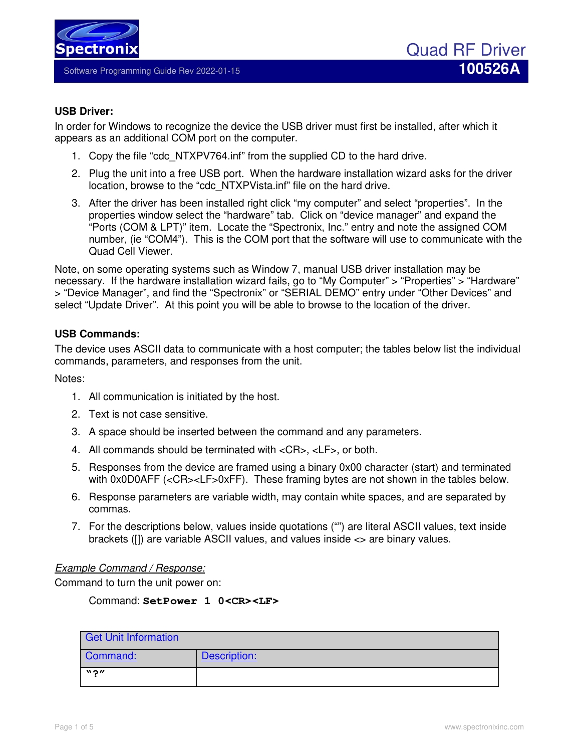

Software Programming Guide Rev 2022-01-15 **100526A**

## **USB Driver:**

In order for Windows to recognize the device the USB driver must first be installed, after which it appears as an additional COM port on the computer.

- 1. Copy the file "cdc\_NTXPV764.inf" from the supplied CD to the hard drive.
- 2. Plug the unit into a free USB port. When the hardware installation wizard asks for the driver location, browse to the "cdc\_NTXPVista.inf" file on the hard drive.
- 3. After the driver has been installed right click "my computer" and select "properties". In the properties window select the "hardware" tab. Click on "device manager" and expand the "Ports (COM & LPT)" item. Locate the "Spectronix, Inc." entry and note the assigned COM number, (ie "COM4"). This is the COM port that the software will use to communicate with the Quad Cell Viewer.

Note, on some operating systems such as Window 7, manual USB driver installation may be necessary. If the hardware installation wizard fails, go to "My Computer" > "Properties" > "Hardware" > "Device Manager", and find the "Spectronix" or "SERIAL DEMO" entry under "Other Devices" and select "Update Driver". At this point you will be able to browse to the location of the driver.

# **USB Commands:**

The device uses ASCII data to communicate with a host computer; the tables below list the individual commands, parameters, and responses from the unit.

Notes:

- 1. All communication is initiated by the host.
- 2. Text is not case sensitive.
- 3. A space should be inserted between the command and any parameters.
- 4. All commands should be terminated with <CR>, <LF>, or both.
- 5. Responses from the device are framed using a binary 0x00 character (start) and terminated with 0x0D0AFF (<CR><LF>0xFF). These framing bytes are not shown in the tables below.
- 6. Response parameters are variable width, may contain white spaces, and are separated by commas.
- 7. For the descriptions below, values inside quotations ("") are literal ASCII values, text inside brackets ([]) are variable ASCII values, and values inside <> are binary values.

### *Example Command / Response:*

Command to turn the unit power on:

## Command: **SetPower 1 0<CR><LF>**

| Get Unit Information        |              |
|-----------------------------|--------------|
| Command:                    | Description: |
| $\mathbf{N}$ 2 $\mathbf{v}$ |              |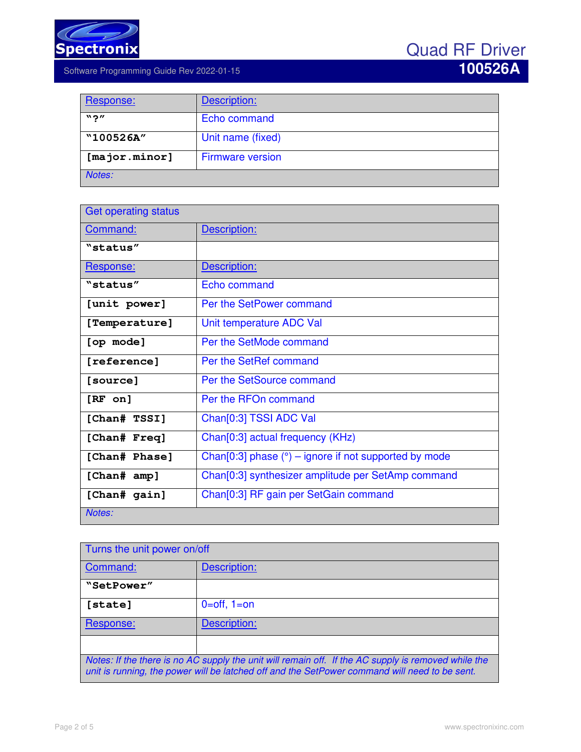

| Response:                   | Description:            |
|-----------------------------|-------------------------|
| $\mathbf{N}$ 2 $\mathbf{W}$ | Echo command            |
| "100526A"                   | Unit name (fixed)       |
| $[\text{major}.minor]$      | <b>Firmware version</b> |
| Notes:                      |                         |

| <b>Get operating status</b> |                                                                |
|-----------------------------|----------------------------------------------------------------|
| Command:                    | Description:                                                   |
| "status"                    |                                                                |
| Response:                   | Description:                                                   |
| "status"                    | Echo command                                                   |
| [unit power]                | Per the SetPower command                                       |
| [Temperature]               | Unit temperature ADC Val                                       |
| [op mode]                   | Per the SetMode command                                        |
| [reference]                 | Per the SetRef command                                         |
| [source]                    | Per the SetSource command                                      |
| $[RF \text{ on}]$           | Per the RFOn command                                           |
| [Chan# TSSI]                | Chan <sup>[0:3]</sup> TSSI ADC Val                             |
| [Chan# Freq]                | Chan <sup>[0:3]</sup> actual frequency (KHz)                   |
| [Chan# Phase]               | Chan[0:3] phase $(°)$ – ignore if not supported by mode        |
| [Chan# amp]                 | Chan <sup>[0:3]</sup> synthesizer amplitude per SetAmp command |
| [Chan# gain]                | Chan <sup>[0:3]</sup> RF gain per SetGain command              |
| Notes:                      |                                                                |

| Turns the unit power on/off                                                                                                                                                                          |                   |
|------------------------------------------------------------------------------------------------------------------------------------------------------------------------------------------------------|-------------------|
| Command:                                                                                                                                                                                             | Description:      |
| "SetPower"                                                                                                                                                                                           |                   |
| [state]                                                                                                                                                                                              | $0=$ off, $1=$ on |
| Response:                                                                                                                                                                                            | Description:      |
|                                                                                                                                                                                                      |                   |
| Notes: If the there is no AC supply the unit will remain off. If the AC supply is removed while the<br>unit is running, the power will be latched off and the SetPower command will need to be sent. |                   |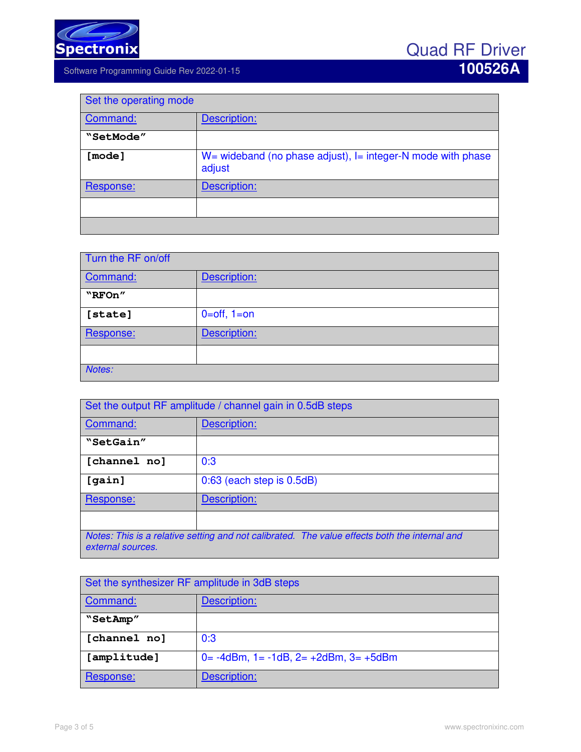

| Set the operating mode |                                                                             |
|------------------------|-----------------------------------------------------------------------------|
| Command:               | Description:                                                                |
| "SetMode"              |                                                                             |
| [mode]                 | $W =$ wideband (no phase adjust), $I =$ integer-N mode with phase<br>adjust |
| Response:              | Description:                                                                |
|                        |                                                                             |
|                        |                                                                             |

| Turn the RF on/off |                   |
|--------------------|-------------------|
| Command:           | Description:      |
| "RFOn"             |                   |
| [state]            | $0=$ off, $1=$ on |
| Response:          | Description:      |
|                    |                   |
| Notes:             |                   |

| Set the output RF amplitude / channel gain in 0.5dB steps                                                          |                           |
|--------------------------------------------------------------------------------------------------------------------|---------------------------|
| Command:                                                                                                           | Description:              |
| "SetGain"                                                                                                          |                           |
| [channel no]                                                                                                       | 0:3                       |
| [gain]                                                                                                             | 0:63 (each step is 0.5dB) |
| Response:                                                                                                          | Description:              |
|                                                                                                                    |                           |
| Notes: This is a relative setting and not calibrated. The value effects both the internal and<br>external sources. |                           |

| Set the synthesizer RF amplitude in 3dB steps |                                                       |
|-----------------------------------------------|-------------------------------------------------------|
| Command:                                      | Description:                                          |
| "SetAmp"                                      |                                                       |
| [channel no]                                  | 0:3                                                   |
| [amplitude]                                   | $0 = -4d$ Bm, $1 = -1dB$ , $2 = +2d$ Bm, $3 = +5d$ Bm |
| Response:                                     | Description:                                          |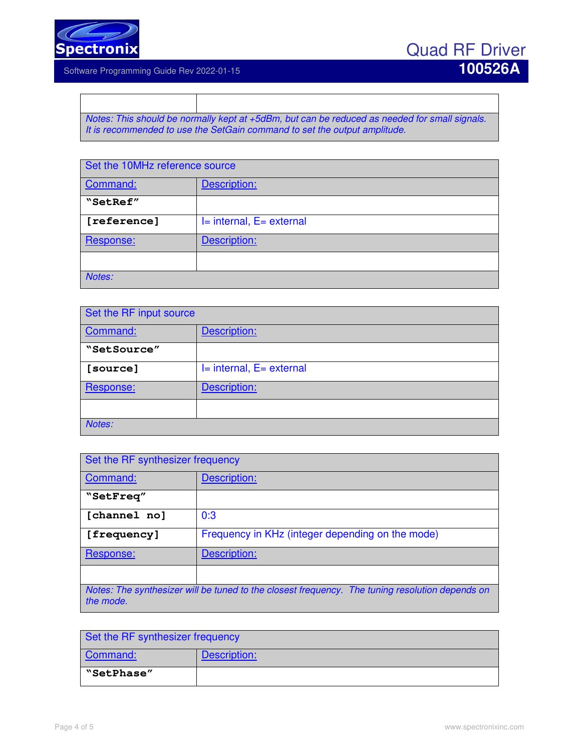

*Notes: This should be normally kept at +5dBm, but can be reduced as needed for small signals. It is recommended to use the SetGain command to set the output amplitude.* 

| Set the 10MHz reference source |                          |
|--------------------------------|--------------------------|
| Command:                       | Description:             |
| "SetRef"                       |                          |
| [reference]                    | I= internal, E= external |
| Response:                      | Description:             |
|                                |                          |
| Notes:                         |                          |

| Set the RF input source |                              |
|-------------------------|------------------------------|
| Command:                | Description:                 |
| "SetSource"             |                              |
| [source]                | $I=$ internal, $E=$ external |
| Response:               | Description:                 |
|                         |                              |
| Notes:                  |                              |

| Set the RF synthesizer frequency |                                                                                                 |
|----------------------------------|-------------------------------------------------------------------------------------------------|
| Command:                         | Description:                                                                                    |
| "SetFreq"                        |                                                                                                 |
| [channel no]                     | 0:3                                                                                             |
| [frequency]                      | Frequency in KHz (integer depending on the mode)                                                |
| Response:                        | Description:                                                                                    |
|                                  |                                                                                                 |
| the mode.                        | Notes: The synthesizer will be tuned to the closest frequency. The tuning resolution depends on |

| Set the RF synthesizer frequency |              |
|----------------------------------|--------------|
| Command:                         | Description: |
| "SetPhase"                       |              |